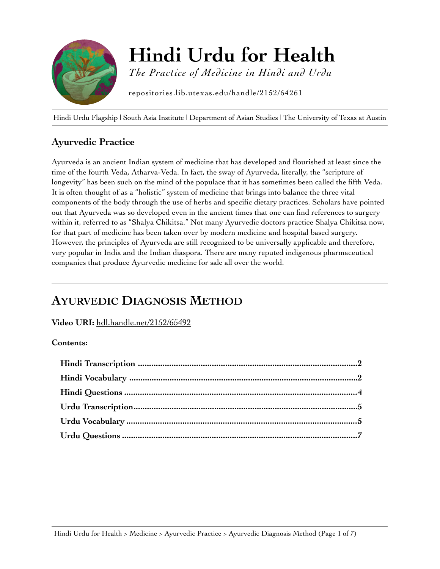

[Hindi Urdu Flagship](http://repositories.lib.utexas.edu/handle/2152/64261) | [South Asia Institute](https://liberalarts.utexas.edu/southasia/) | [Department of Asian Studies](http://www.utexas.edu/cola/depts/asianstudies/index.php) | [The University of Texas at Austin](http://utexas.edu)

## **Ayurvedic Practice**

Ayurveda is an ancient Indian system of medicine that has developed and flourished at least since the time of the fourth Veda, Atharva-Veda. In fact, the sway of Ayurveda, literally, the "scripture of longevity" has been such on the mind of the populace that it has sometimes been called the fifth Veda. It is often thought of as a "holistic" system of medicine that brings into balance the three vital components of the body through the use of herbs and specific dietary practices. Scholars have pointed out that Ayurveda was so developed even in the ancient times that one can find references to surgery within it, referred to as "Shalya Chikitsa." Not many Ayurvedic doctors practice Shalya Chikitsa now, for that part of medicine has been taken over by modern medicine and hospital based surgery. However, the principles of Ayurveda are still recognized to be universally applicable and therefore, very popular in India and the Indian diaspora. There are many reputed indigenous pharmaceutical companies that produce Ayurvedic medicine for sale all over the world.

# **AYURVEDIC DIAGNOSIS METHOD**

**Video URI:** [hdl.handle.net/2152/65492](http://hdl.handle.net/2152/65492)

### **Contents:**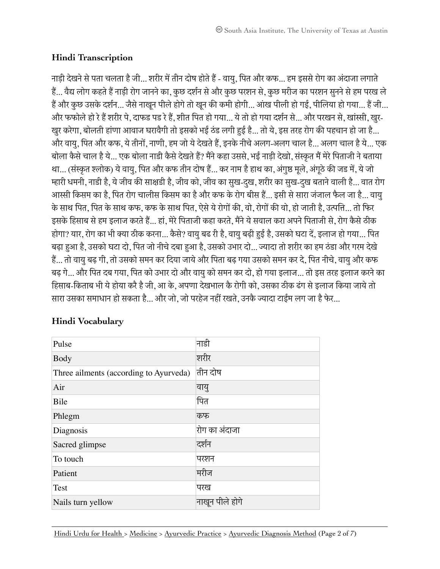## <span id="page-1-0"></span>**Hindi Transcription**

नाड़ी देखने से पता चलता है जी... शरीर में तीन दोष होते हैं - वायु, पित और कफ... हम इससे रोग का अंदाजा लगाते हैं... वैद्य लोग कहते हैं नाड़ी रोग जानने का, कुछ दर्शन से और कुछ परशन से, कुछ मरीज का परशन सुनने से हम परख ले हैं और कुछ उसके दर्शन... जैसे नाखुन पीले होगे तो खुन की कमी होगी... आंख पीली हो गई, पीलिया हो गया... हैं जी... और फफोलेहो रेहैशरीर पे, दाफड पड रेहै, शीत िपत हो गया... येतो हो गया दशरन से... और परखन से, खांसी, खुर-खुर करेगा, बोलती हांणा आवाज घरावैगी तो इसको भई ठंड लगी हई है... तो ये, इस तरह रोग की पहचान हो जा है... और वायु, िपत और कफ, येतीनो, नाणी, हम जो येदेखतेहै, इनके नीचेअलग-अलग चाल है... अलग चाल हैये... एक बोला कैसे चाल है ये... एक बोला नाडी कैसे देखते हैं? मैंने कहा उससे, भई नाड़ी देखो, संस्कृत मैं मेरे पिताजी ने बताया था... (संस्कृत श्लोक) ये वायु, पित और कफ तीन दोष हैं... कर नाम है हाथ का, अंगुष्ठ मूले, अंगूठे की जड में, ये जो म्हारी धमनी, नाडी है, ये जीव की साक्षडी है, जीव को, जीव का सुख-दुख, शरीर का सुख-दुख बताने वाली है... वात रोग आस्सी किसम का है. पित रोग चालीस किसम का है और कफ के रोग बीस हैं... इसी से सारा जंजाल फैल जा है... वाय के साथ पित, पित के साथ कफ, कफ के साथ पित, ऐसे ये रोगों की, वो, रोगों की वो, हो जाती है, उत्पत्ति... तो फिर इसके हिसाब से हम इलाज करते हैं... हां, मेरे पिताजी कहा करते, मैंने ये सवाल करा अपने पिताजी से, रोग कैसे ठीक होगा? यार, रोग का भी क्या ठीक करना... कैसे? वायु बढ री है, वायु बढ़ी हुई है, उसको घटा दें, इलाज हो गया... पित बढ़ा हआ है, उसको घटा दो, िपत जो नीचेदबा हआ है, उसको उभार दो... जादा तो शरीर का हम ठंडा और गरम देखे है... तो वायुबढ़ गी, तो उसको समन कर िदया जायेऔर िपता बढ़ गया उसको समन कर दे, िपत नीचे, वायुऔर कफ बढ़ गे... और िपत दब गया, िपत को उभार दो और वायुको समन कर दो, हो गया इलाज... तो इस तरह इलाज करनेका हिसाब-किताब भी ये होया करै है जी, आ के, अपणा देखभाल कै रोगी को, उसका ठीक ढंग से इलाज किया जाये तो सारा उसका समाधान हो सकता है... और जो, जो परहेज नहीं रखते, उनकै ज्यादा टाईम लग जा है फेर...

| Pulse                                  | नाडी            |
|----------------------------------------|-----------------|
| <b>Body</b>                            | शरीर            |
| Three ailments (according to Ayurveda) | तीन दोष         |
| Air                                    | वायु            |
| Bile                                   | पित             |
| Phlegm                                 | कफ              |
| Diagnosis                              | रोग का अंदाजा   |
| Sacred glimpse                         | दर्शन           |
| To touch                               | परशन            |
| Patient                                | मरीज            |
| Test                                   | परख             |
| Nails turn yellow                      | नाखुन पीले होगे |

## <span id="page-1-1"></span>**Hindi Vocabulary**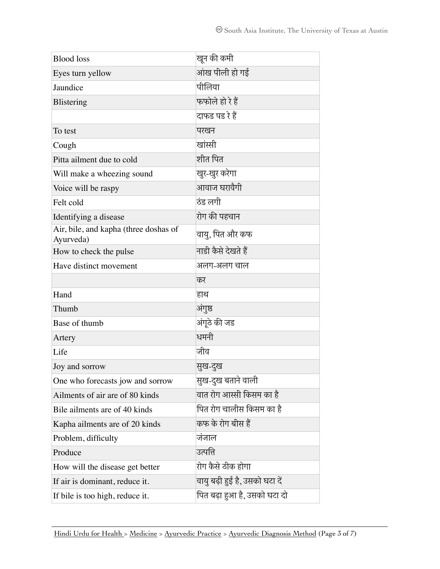| <b>Blood</b> loss                                  | खून की कमी                     |
|----------------------------------------------------|--------------------------------|
| Eyes turn yellow                                   | आंख पीली हो गई                 |
| Jaundice                                           | पीलिया                         |
| Blistering                                         | फफोले हो रे हैं                |
|                                                    | दाफड पड रे हैं                 |
| To test                                            | परखन                           |
| Cough                                              | खांस्ती                        |
| Pitta ailment due to cold                          | शीत पित                        |
| Will make a wheezing sound                         | खुर-खुर करेगा                  |
| Voice will be raspy                                | आवाज घरावैगी                   |
| Felt cold                                          | ठंड लगी                        |
| Identifying a disease                              | रोग की पहचान                   |
| Air, bile, and kapha (three doshas of<br>Ayurveda) | वायु, पित और कफ                |
| How to check the pulse                             | नाडी कैसे देखते हैं            |
| Have distinct movement                             | अलग-अलग चाल                    |
|                                                    |                                |
|                                                    | कर                             |
| Hand                                               | हाथ                            |
| Thumb                                              | अंगुष्ठ                        |
| Base of thumb                                      | अंगूठे की जड                   |
| Artery                                             | धमनी                           |
| Life                                               | जीव                            |
| Joy and sorrow                                     | सुख-दुख                        |
| One who forecasts jow and sorrow                   | सुख-दुख बताने वाली             |
| Ailments of air are of 80 kinds                    | वात रोग आस्सी किसम का है       |
| Bile ailments are of 40 kinds                      | पित रोग चालीस किसम का है       |
| Kapha ailments are of 20 kinds                     | कफ के रोग बीस हैं              |
| Problem, difficulty                                | जंजाल                          |
| Produce                                            | उत्पत्ति                       |
| How will the disease get better                    | रोग कैसे ठीक होगा              |
| If air is dominant, reduce it.                     | वायु बढ़ी हुई है, उसको घटा दें |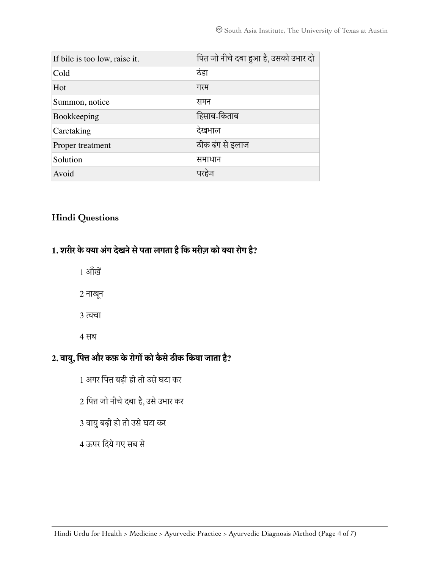| If bile is too low, raise it. | पित जो नीचे दबा हुआ है, उसको उभार दो |
|-------------------------------|--------------------------------------|
| Cold                          | ठंडा                                 |
| Hot                           | गरम                                  |
| Summon, notice                | समन                                  |
| Bookkeeping                   | हिसाब-किताब                          |
| Caretaking                    | दिखभाल                               |
| Proper treatment              | ठीक ढंग से इलाज                      |
| Solution                      | समाधान                               |
| Avoid                         | परहेज                                |

### <span id="page-3-0"></span>**Hindi Questions**

## **1. शरीर केका अंग देखनेसेपता लगता हैिक मरीज़ को का रोग है?**

- 1 आँ खे
- 2 नाखून
- 3 तचा
- 4 सब

## **2. वायु, िपत और कफ़ केरोगो को कै सेठीक िकया जाता है?**

- 1 अगर िपत बढ़ी हो तो उसेघटा कर
- 2 िपत जो नीचेदबा है, उसेउभार कर
- 3 वायु बढ़ी हो तो उसे घटा कर
- 4 ऊपर िदयेगए सब से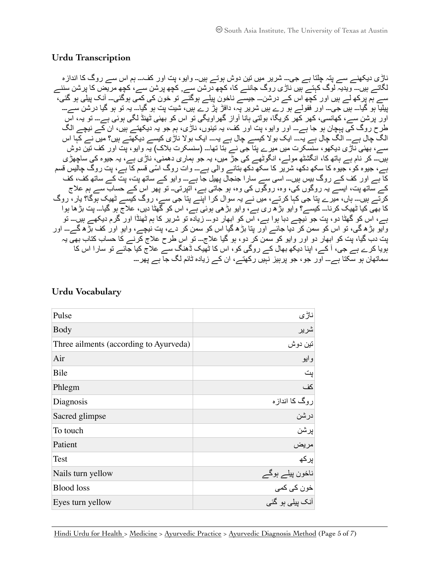#### <span id="page-4-0"></span>**Urdu Transcription**

ناڑی دیکھنے سے پتہ چلتا ہے جی۔۔۔ شریر میں تین دوش ہوتے ہیں۔۔ وایو، پت اور کف۔۔۔ ہم اس سے روگ کا اندازه لگاتے ہیں۔۔۔ ویدیہ لوگ کہتے ہیں ناڑی روگ جاننے کا، کچھ درشن سے, کچھ پرشن سے، کچھ مریض کا پرشن سننے سے ہم پرکھ لے ہیں اور کچھ اس کے درشن۔۔۔ جیسے ناخون پیلے ہوگئے تو خون کی کمی ہوگئی۔۔۔ آنک پیلی ہو گئی، پیلیا ہو گیا۔۔۔ ہیں جی۔۔۔ اور ففولے ہو رے ہیں شریر پہ، دافڑ پڑ رے ہیں، شیت پت ہو گیا۔۔۔ یہ تو ہو گیا درشن سے۔۔۔ پہ میں کہ میں دی کر کر کے بڑک کے بہت کیں ہے۔<br>اور پرشن سے، کھانسی، کھر کھر کریگا، بولتی ہانا آواز گھراویگی تو اس کو بھئی ٹھنڈ لگی ہوئی ہے۔۔۔ تو یہ، اس طرح روگ کی پہچان ہو جا ہے۔۔۔ اور وایو، پت اور کف، یہ تینوں، ناڑی، ہم جو یہ دیکھتے ہیں، ان کے نیچے الگ الگ چال ہے۔۔۔ الگ چال ہے یہ۔۔۔ ایک بولا کیسے چال ہے یہ۔۔۔ ایک بولا ناڑی کیسے دیکھتے ہیں؟ میں نے کہا اس سے، بھئی ناڑی دیکھو، سنسکرت میں میرے پتا جی نے بتا تھا۔۔۔ (سنسکرت بلاک) یہ وایو، پت اور کف تین دوش ۔۔۔<br>بیں۔۔۔ کر نام ہے ہاتھ کا، انگشٹھ مولے، انگوٹھے کی جڑ میں، یہ جو ہماری دھمنی، ناڑی ہے، یہ جیوہ کی ساچھڑی ہے، جیوه کو، جیوه کا سکھ دکھ، شریر کا سکھ دکھ بتانے والی ہے۔۔۔ وات روگ ا ّسی قسم کا ہے، پت روگ چالیس قسم کا ہے اور کف کے روگ بیس ہیں۔۔۔ اسی سے سارا جنجال پھیل جا ہے۔۔۔ وایو کے ساتھ پت، پت کے ساتھ کف، کف کے ساتھ پت، ایسے یہ روگوں کی، وه، روگوں کی وه، ہو جاتی ہے، اتپرتی۔۔ تو پھر اس کے حساب سے ہم علاج کرتے ہیں۔۔۔ ہاں، میرے پتا جی کہا کرتے، میں نے یہ سوال کرا اپنے پتا جی سے، روگ کیسے ٹھیک ہوگا؟ یار، روگ کا بھی کیا ٹھیک کرنا۔۔۔ کیسے؟ وایو بڑھ ری ہے، وایو بڑھی ہوئی ہے، اس کو گھٹا دیں، علاج ہو گیا۔۔۔ پت بڑھا ہوا ہے، اس کو گھٹا دو، پت جو نیچے دبا ہوا ہے، اس کو ابھار دو۔۔۔ زیاده تو شریر کا ہم ٹھنڈا اور گرم دیکھے ہیں۔۔۔ تو وایو بڑھ گی، تو اس کو سمن کر دیا جائے اور پتا بڑھ گیا اس کو سمن کر دے، پت نیچے، وایوِ اور کف بڑھ گے۔۔ اور پت دب گیا، پت کو ابھار دو اور وایو کو سمن کر دو، ہو گیا علاج۔۔۔ تو اس طرح علاج کرنے کا حساب کتاب بھی یہ ہویا کرے ہے جی، آ کے، اپنا دیکھ بھال کے روگی کو، اس کا ٹھیک ڈھنگ سے علاج کیا جائے تو سارا اس کا سماتھان ہو سکتا ہے۔۔۔ اور جو، جو پرہیز نہیں رکھتے، ان کے زیاده ٹائم لگ جا ہے پھر۔۔۔

| Pulse                                  | ناڑي                                                     |
|----------------------------------------|----------------------------------------------------------|
| <b>Body</b>                            | شرير                                                     |
| Three ailments (according to Ayurveda) | تين دوش                                                  |
| Air                                    | وايو                                                     |
| Bile                                   | پت                                                       |
| Phlegm                                 | كف                                                       |
| Diagnosis                              | روگ کا انداز ہ                                           |
| Sacred glimpse                         |                                                          |
| To touch                               |                                                          |
| Patient                                | ۔<br>درشن<br>ہریض<br>پرکھ                                |
| Test                                   |                                                          |
| Nails turn yellow                      |                                                          |
| <b>Blood loss</b>                      | ناخون پیلے ہوگے<br>خون کی ک <i>می</i><br>آنک پیلی ہو گئی |
| Eyes turn yellow                       |                                                          |

### <span id="page-4-1"></span>**Urdu Vocabulary**

[Hindi Urdu for Health >](http://repositories.lib.utexas.edu/handle/2152/64261) [Medicine](https://repositories.lib.utexas.edu/handle/2152/64262) > [Ayurvedic Practice](https://repositories.lib.utexas.edu/handle/2152/64265) > [Ayurvedic Diagnosis Method](http://hdl.handle.net/2152/65492) (Page 5 of 7)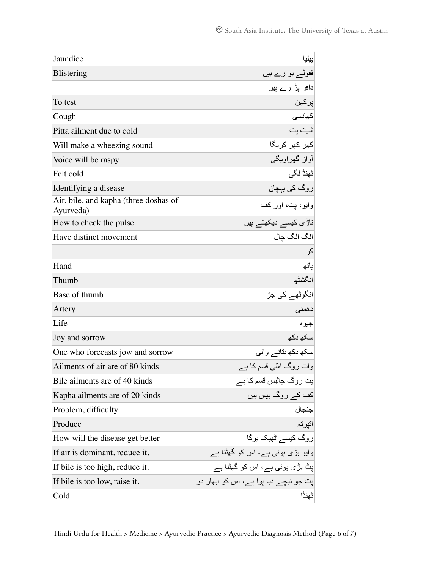| Jaundice                                           | بيليا                                 |
|----------------------------------------------------|---------------------------------------|
| <b>Blistering</b>                                  | ففولے ہو رے ہیں                       |
|                                                    | دافر پڑ رے ہیں                        |
| To test                                            | يركهن                                 |
| Cough                                              | كهانسى                                |
| Pitta ailment due to cold                          | شيت پت                                |
| Will make a wheezing sound                         | کھر کھر کریگا                         |
| Voice will be raspy                                | أواز گهراويگي                         |
| Felt cold                                          | ٹھنڈ لگی                              |
| Identifying a disease                              | روگ ک <i>ی</i> پہچا <i>ن</i>          |
| Air, bile, and kapha (three doshas of<br>Ayurveda) | وايو، بت، اور كف                      |
| How to check the pulse                             | ناڑی کیسے دیکھتے ہیں                  |
| Have distinct movement                             | الگ الگ چال                           |
|                                                    | کر                                    |
| Hand                                               | باتھ                                  |
| Thumb                                              | انگشٹھ                                |
| Base of thumb                                      | انگوٹھے کی جڑ                         |
| Artery                                             | دهمنى                                 |
| Life                                               | جيوه                                  |
| Joy and sorrow                                     | سکھ دکھ                               |
| One who forecasts jow and sorrow                   | سکھ دکھ بتانے والمی                   |
| Ailments of air are of 80 kinds                    | وات روگ اسّی قسم کا ہے                |
| Bile ailments are of 40 kinds                      | اپت روگ چالیس قسم کا ہے               |
| Kapha ailments are of 20 kinds                     | کف کے روگ بیس ہیں                     |
| Problem, difficulty                                | جنجال                                 |
| Produce                                            | اتيرتہ                                |
| How will the disease get better                    | روگ کیسے ٹھیک ہوگا                    |
| If air is dominant, reduce it.                     | وایو بڑی ہوئی ہے، اس کو گھٹنا ہے      |
| If bile is too high, reduce it.                    | پٹ بڑی ہوئی ہے، اس کو گھٹنا ہے        |
| If bile is too low, raise it.                      | پت جو نیچے دبا ہوا ہے، اس کو ابھار دو |
| Cold                                               | ٹھنڈا                                 |